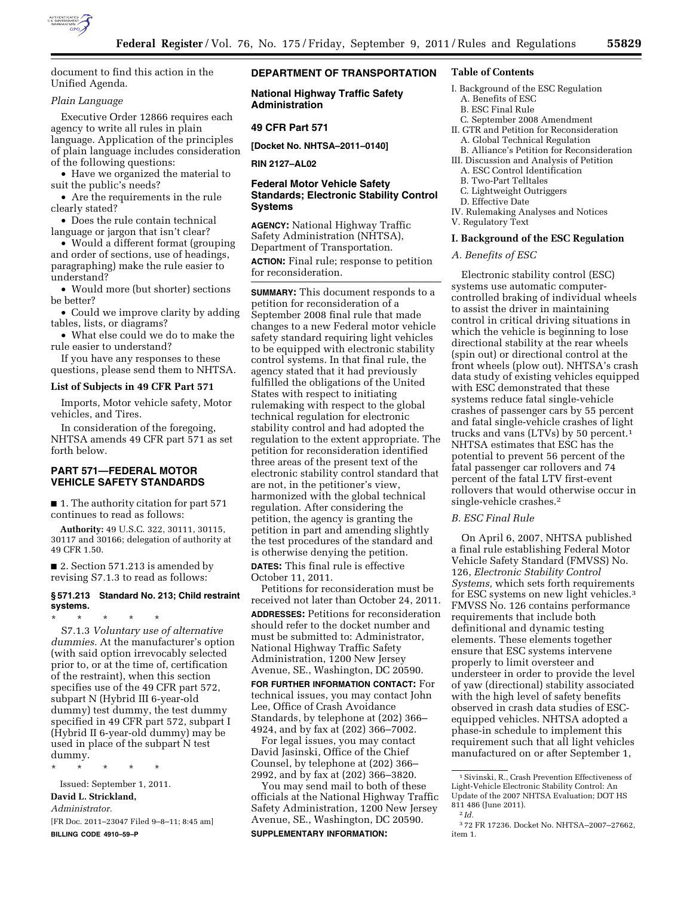

document to find this action in the Unified Agenda.

# *Plain Language*

Executive Order 12866 requires each agency to write all rules in plain language. Application of the principles of plain language includes consideration of the following questions:

• Have we organized the material to suit the public's needs?

• Are the requirements in the rule clearly stated?

• Does the rule contain technical language or jargon that isn't clear?

• Would a different format (grouping and order of sections, use of headings, paragraphing) make the rule easier to understand?

• Would more (but shorter) sections be better?

• Could we improve clarity by adding tables, lists, or diagrams?

• What else could we do to make the rule easier to understand?

If you have any responses to these questions, please send them to NHTSA.

#### **List of Subjects in 49 CFR Part 571**

Imports, Motor vehicle safety, Motor vehicles, and Tires.

In consideration of the foregoing, NHTSA amends 49 CFR part 571 as set forth below.

# **PART 571—FEDERAL MOTOR VEHICLE SAFETY STANDARDS**

■ 1. The authority citation for part 571 continues to read as follows:

**Authority:** 49 U.S.C. 322, 30111, 30115, 30117 and 30166; delegation of authority at 49 CFR 1.50.

■ 2. Section 571.213 is amended by revising S7.1.3 to read as follows:

# **§ 571.213 Standard No. 213; Child restraint systems.**

\* \* \* \* \* S7.1.3 *Voluntary use of alternative dummies.* At the manufacturer's option (with said option irrevocably selected prior to, or at the time of, certification of the restraint), when this section specifies use of the 49 CFR part 572, subpart N (Hybrid III 6-year-old dummy) test dummy, the test dummy specified in 49 CFR part 572, subpart I (Hybrid II 6-year-old dummy) may be used in place of the subpart N test dummy.

\* \* \* \* \* Issued: September 1, 2011. **David L. Strickland,**  *Administrator.*  [FR Doc. 2011–23047 Filed 9–8–11; 8:45 am] **BILLING CODE 4910–59–P** 

# **DEPARTMENT OF TRANSPORTATION**

**National Highway Traffic Safety Administration** 

## **49 CFR Part 571**

**[Docket No. NHTSA–2011–0140]** 

**RIN 2127–AL02** 

# **Federal Motor Vehicle Safety Standards; Electronic Stability Control Systems**

**AGENCY:** National Highway Traffic Safety Administration (NHTSA), Department of Transportation.

**ACTION:** Final rule; response to petition for reconsideration.

**SUMMARY:** This document responds to a petition for reconsideration of a September 2008 final rule that made changes to a new Federal motor vehicle safety standard requiring light vehicles to be equipped with electronic stability control systems. In that final rule, the agency stated that it had previously fulfilled the obligations of the United States with respect to initiating rulemaking with respect to the global technical regulation for electronic stability control and had adopted the regulation to the extent appropriate. The petition for reconsideration identified three areas of the present text of the electronic stability control standard that are not, in the petitioner's view, harmonized with the global technical regulation. After considering the petition, the agency is granting the petition in part and amending slightly the test procedures of the standard and is otherwise denying the petition.

**DATES:** This final rule is effective October 11, 2011.

Petitions for reconsideration must be received not later than October 24, 2011. **ADDRESSES:** Petitions for reconsideration should refer to the docket number and must be submitted to: Administrator, National Highway Traffic Safety Administration, 1200 New Jersey Avenue, SE., Washington, DC 20590.

**FOR FURTHER INFORMATION CONTACT:** For technical issues, you may contact John Lee, Office of Crash Avoidance Standards, by telephone at (202) 366– 4924, and by fax at (202) 366–7002.

For legal issues, you may contact David Jasinski, Office of the Chief Counsel, by telephone at (202) 366– 2992, and by fax at (202) 366–3820.

You may send mail to both of these officials at the National Highway Traffic Safety Administration, 1200 New Jersey Avenue, SE., Washington, DC 20590. **SUPPLEMENTARY INFORMATION:** 

# **Table of Contents**

- I. Background of the ESC Regulation A. Benefits of ESC
	- B. ESC Final Rule
- C. September 2008 Amendment
- II. GTR and Petition for Reconsideration A. Global Technical Regulation
- B. Alliance's Petition for Reconsideration III. Discussion and Analysis of Petition
	- A. ESC Control Identification
- B. Two-Part Telltales
- C. Lightweight Outriggers
- D. Effective Date
- IV. Rulemaking Analyses and Notices
- V. Regulatory Text

## **I. Background of the ESC Regulation**

*A. Benefits of ESC* 

Electronic stability control (ESC) systems use automatic computercontrolled braking of individual wheels to assist the driver in maintaining control in critical driving situations in which the vehicle is beginning to lose directional stability at the rear wheels (spin out) or directional control at the front wheels (plow out). NHTSA's crash data study of existing vehicles equipped with ESC demonstrated that these systems reduce fatal single-vehicle crashes of passenger cars by 55 percent and fatal single-vehicle crashes of light trucks and vans (LTVs) by 50 percent.1 NHTSA estimates that ESC has the potential to prevent 56 percent of the fatal passenger car rollovers and 74 percent of the fatal LTV first-event rollovers that would otherwise occur in single-vehicle crashes.2

# *B. ESC Final Rule*

On April 6, 2007, NHTSA published a final rule establishing Federal Motor Vehicle Safety Standard (FMVSS) No. 126, *Electronic Stability Control Systems,* which sets forth requirements for ESC systems on new light vehicles.3 FMVSS No. 126 contains performance requirements that include both definitional and dynamic testing elements. These elements together ensure that ESC systems intervene properly to limit oversteer and understeer in order to provide the level of yaw (directional) stability associated with the high level of safety benefits observed in crash data studies of ESCequipped vehicles. NHTSA adopted a phase-in schedule to implement this requirement such that all light vehicles manufactured on or after September 1,

<sup>1</sup>Sivinski, R., Crash Prevention Effectiveness of Light-Vehicle Electronic Stability Control: An Update of the 2007 NHTSA Evaluation; DOT HS 811 486 (June 2011).

<sup>2</sup> *Id.* 

<sup>3</sup> 72 FR 17236. Docket No. NHTSA–2007–27662, item 1.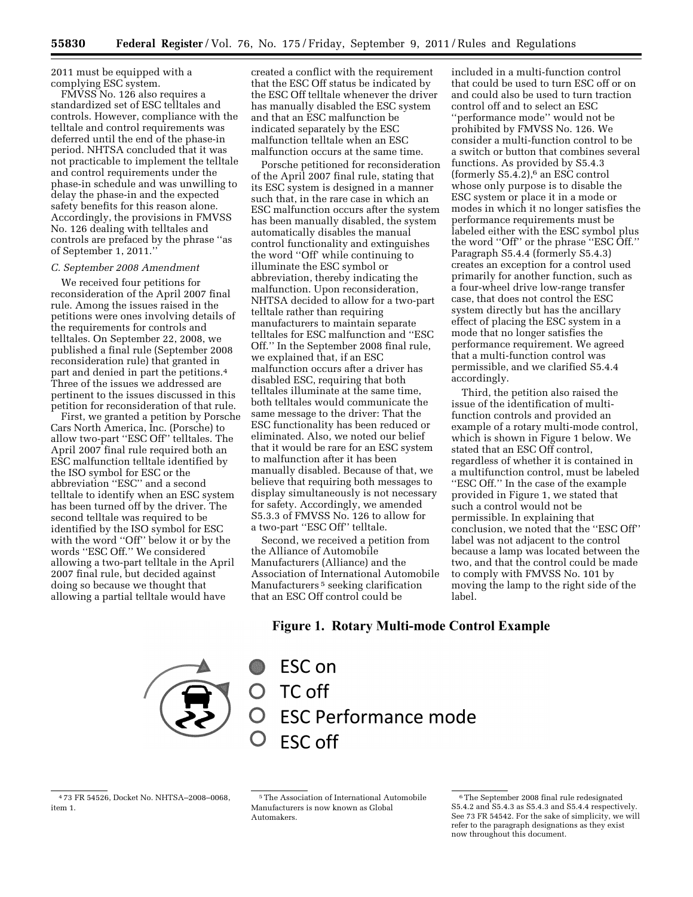2011 must be equipped with a complying ESC system.

FMVSS No. 126 also requires a standardized set of ESC telltales and controls. However, compliance with the telltale and control requirements was deferred until the end of the phase-in period. NHTSA concluded that it was not practicable to implement the telltale and control requirements under the phase-in schedule and was unwilling to delay the phase-in and the expected safety benefits for this reason alone. Accordingly, the provisions in FMVSS No. 126 dealing with telltales and controls are prefaced by the phrase ''as of September 1, 2011.''

### *C. September 2008 Amendment*

We received four petitions for reconsideration of the April 2007 final rule. Among the issues raised in the petitions were ones involving details of the requirements for controls and telltales. On September 22, 2008, we published a final rule (September 2008 reconsideration rule) that granted in part and denied in part the petitions.4 Three of the issues we addressed are pertinent to the issues discussed in this petition for reconsideration of that rule.

First, we granted a petition by Porsche Cars North America, Inc. (Porsche) to allow two-part ''ESC Off'' telltales. The April 2007 final rule required both an ESC malfunction telltale identified by the ISO symbol for ESC or the abbreviation ''ESC'' and a second telltale to identify when an ESC system has been turned off by the driver. The second telltale was required to be identified by the ISO symbol for ESC with the word ''Off'' below it or by the words ''ESC Off.'' We considered allowing a two-part telltale in the April 2007 final rule, but decided against doing so because we thought that allowing a partial telltale would have

created a conflict with the requirement that the ESC Off status be indicated by the ESC Off telltale whenever the driver has manually disabled the ESC system and that an ESC malfunction be indicated separately by the ESC malfunction telltale when an ESC malfunction occurs at the same time.

Porsche petitioned for reconsideration of the April 2007 final rule, stating that its ESC system is designed in a manner such that, in the rare case in which an ESC malfunction occurs after the system has been manually disabled, the system automatically disables the manual control functionality and extinguishes the word ''Off' while continuing to illuminate the ESC symbol or abbreviation, thereby indicating the malfunction. Upon reconsideration, NHTSA decided to allow for a two-part telltale rather than requiring manufacturers to maintain separate telltales for ESC malfunction and ''ESC Off.'' In the September 2008 final rule, we explained that, if an ESC malfunction occurs after a driver has disabled ESC, requiring that both telltales illuminate at the same time, both telltales would communicate the same message to the driver: That the ESC functionality has been reduced or eliminated. Also, we noted our belief that it would be rare for an ESC system to malfunction after it has been manually disabled. Because of that, we believe that requiring both messages to display simultaneously is not necessary for safety. Accordingly, we amended S5.3.3 of FMVSS No. 126 to allow for a two-part ''ESC Off'' telltale.

Second, we received a petition from the Alliance of Automobile Manufacturers (Alliance) and the Association of International Automobile Manufacturers<sup>5</sup> seeking clarification that an ESC Off control could be

included in a multi-function control that could be used to turn ESC off or on and could also be used to turn traction control off and to select an ESC ''performance mode'' would not be prohibited by FMVSS No. 126. We consider a multi-function control to be a switch or button that combines several functions. As provided by S5.4.3 (formerly  $S5.4.2$ ),<sup>6</sup> an ESC control whose only purpose is to disable the ESC system or place it in a mode or modes in which it no longer satisfies the performance requirements must be labeled either with the ESC symbol plus the word ''Off'' or the phrase ''ESC Off.'' Paragraph S5.4.4 (formerly S5.4.3) creates an exception for a control used primarily for another function, such as a four-wheel drive low-range transfer case, that does not control the ESC system directly but has the ancillary effect of placing the ESC system in a mode that no longer satisfies the performance requirement. We agreed that a multi-function control was permissible, and we clarified S5.4.4 accordingly.

Third, the petition also raised the issue of the identification of multifunction controls and provided an example of a rotary multi-mode control, which is shown in Figure 1 below. We stated that an ESC Off control, regardless of whether it is contained in a multifunction control, must be labeled ''ESC Off.'' In the case of the example provided in Figure 1, we stated that such a control would not be permissible. In explaining that conclusion, we noted that the ''ESC Off'' label was not adjacent to the control because a lamp was located between the two, and that the control could be made to comply with FMVSS No. 101 by moving the lamp to the right side of the label.

# Figure 1. Rotary Multi-mode Control Example



ESC on O TC off **ESC Performance mode ESC off** 

<sup>4</sup> 73 FR 54526, Docket No. NHTSA–2008–0068, item 1.

<sup>5</sup>The Association of International Automobile Manufacturers is now known as Global Automakers.

<sup>6</sup>The September 2008 final rule redesignated S5.4.2 and S5.4.3 as S5.4.3 and S5.4.4 respectively. See 73 FR 54542. For the sake of simplicity, we will refer to the paragraph designations as they exist now throughout this document.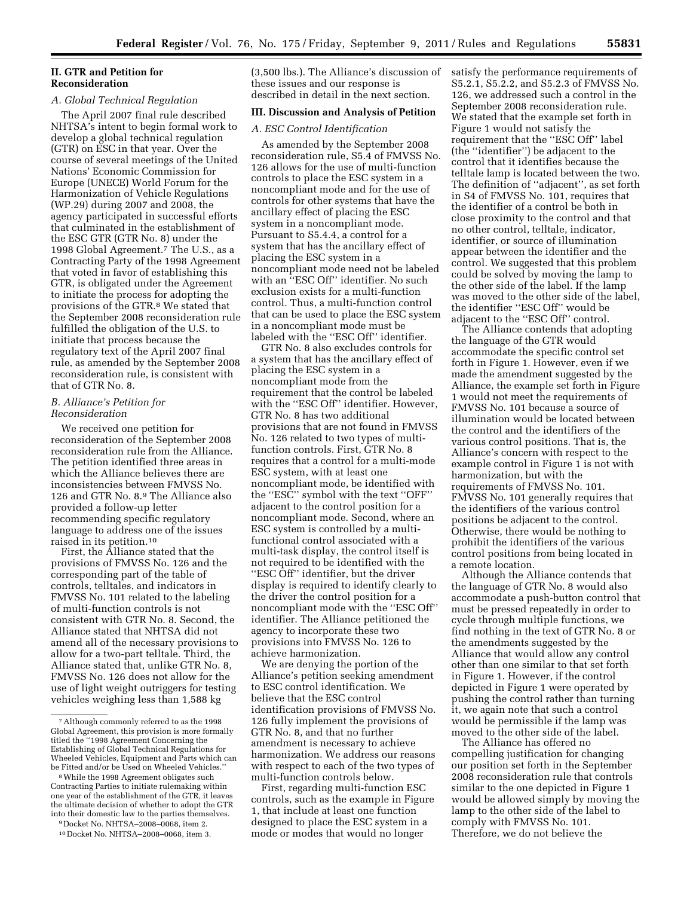## **II. GTR and Petition for Reconsideration**

### *A. Global Technical Regulation*

The April 2007 final rule described NHTSA's intent to begin formal work to develop a global technical regulation (GTR) on ESC in that year. Over the course of several meetings of the United Nations' Economic Commission for Europe (UNECE) World Forum for the Harmonization of Vehicle Regulations (WP.29) during 2007 and 2008, the agency participated in successful efforts that culminated in the establishment of the ESC GTR (GTR No. 8) under the 1998 Global Agreement.7 The U.S., as a Contracting Party of the 1998 Agreement that voted in favor of establishing this GTR, is obligated under the Agreement to initiate the process for adopting the provisions of the GTR.<sup>8</sup> We stated that the September 2008 reconsideration rule fulfilled the obligation of the U.S. to initiate that process because the regulatory text of the April 2007 final rule, as amended by the September 2008 reconsideration rule, is consistent with that of GTR No. 8.

## *B. Alliance's Petition for Reconsideration*

We received one petition for reconsideration of the September 2008 reconsideration rule from the Alliance. The petition identified three areas in which the Alliance believes there are inconsistencies between FMVSS No. 126 and GTR No. 8.9 The Alliance also provided a follow-up letter recommending specific regulatory language to address one of the issues raised in its petition.10

First, the Alliance stated that the provisions of FMVSS No. 126 and the corresponding part of the table of controls, telltales, and indicators in FMVSS No. 101 related to the labeling of multi-function controls is not consistent with GTR No. 8. Second, the Alliance stated that NHTSA did not amend all of the necessary provisions to allow for a two-part telltale. Third, the Alliance stated that, unlike GTR No. 8, FMVSS No. 126 does not allow for the use of light weight outriggers for testing vehicles weighing less than 1,588 kg

(3,500 lbs.). The Alliance's discussion of these issues and our response is described in detail in the next section.

#### **III. Discussion and Analysis of Petition**

#### *A. ESC Control Identification*

As amended by the September 2008 reconsideration rule, S5.4 of FMVSS No. 126 allows for the use of multi-function controls to place the ESC system in a noncompliant mode and for the use of controls for other systems that have the ancillary effect of placing the ESC system in a noncompliant mode. Pursuant to S5.4.4, a control for a system that has the ancillary effect of placing the ESC system in a noncompliant mode need not be labeled with an ''ESC Off'' identifier. No such exclusion exists for a multi-function control. Thus, a multi-function control that can be used to place the ESC system in a noncompliant mode must be labeled with the ''ESC Off'' identifier.

GTR No. 8 also excludes controls for a system that has the ancillary effect of placing the ESC system in a noncompliant mode from the requirement that the control be labeled with the "ESC Off" identifier. However, GTR No. 8 has two additional provisions that are not found in FMVSS No. 126 related to two types of multifunction controls. First, GTR No. 8 requires that a control for a multi-mode ESC system, with at least one noncompliant mode, be identified with the ''ESC'' symbol with the text ''OFF'' adjacent to the control position for a noncompliant mode. Second, where an ESC system is controlled by a multifunctional control associated with a multi-task display, the control itself is not required to be identified with the ''ESC Off'' identifier, but the driver display is required to identify clearly to the driver the control position for a noncompliant mode with the ''ESC Off'' identifier. The Alliance petitioned the agency to incorporate these two provisions into FMVSS No. 126 to achieve harmonization.

We are denying the portion of the Alliance's petition seeking amendment to ESC control identification. We believe that the ESC control identification provisions of FMVSS No. 126 fully implement the provisions of GTR No. 8, and that no further amendment is necessary to achieve harmonization. We address our reasons with respect to each of the two types of multi-function controls below.

First, regarding multi-function ESC controls, such as the example in Figure 1, that include at least one function designed to place the ESC system in a mode or modes that would no longer

satisfy the performance requirements of S5.2.1, S5.2.2, and S5.2.3 of FMVSS No. 126, we addressed such a control in the September 2008 reconsideration rule. We stated that the example set forth in Figure 1 would not satisfy the requirement that the ''ESC Off'' label (the ''identifier'') be adjacent to the control that it identifies because the telltale lamp is located between the two. The definition of ''adjacent'', as set forth in S4 of FMVSS No. 101, requires that the identifier of a control be both in close proximity to the control and that no other control, telltale, indicator, identifier, or source of illumination appear between the identifier and the control. We suggested that this problem could be solved by moving the lamp to the other side of the label. If the lamp was moved to the other side of the label, the identifier ''ESC Off'' would be adjacent to the ''ESC Off'' control.

The Alliance contends that adopting the language of the GTR would accommodate the specific control set forth in Figure 1. However, even if we made the amendment suggested by the Alliance, the example set forth in Figure 1 would not meet the requirements of FMVSS No. 101 because a source of illumination would be located between the control and the identifiers of the various control positions. That is, the Alliance's concern with respect to the example control in Figure 1 is not with harmonization, but with the requirements of FMVSS No. 101. FMVSS No. 101 generally requires that the identifiers of the various control positions be adjacent to the control. Otherwise, there would be nothing to prohibit the identifiers of the various control positions from being located in a remote location.

Although the Alliance contends that the language of GTR No. 8 would also accommodate a push-button control that must be pressed repeatedly in order to cycle through multiple functions, we find nothing in the text of GTR No. 8 or the amendments suggested by the Alliance that would allow any control other than one similar to that set forth in Figure 1. However, if the control depicted in Figure 1 were operated by pushing the control rather than turning it, we again note that such a control would be permissible if the lamp was moved to the other side of the label.

The Alliance has offered no compelling justification for changing our position set forth in the September 2008 reconsideration rule that controls similar to the one depicted in Figure 1 would be allowed simply by moving the lamp to the other side of the label to comply with FMVSS No. 101. Therefore, we do not believe the

<sup>7</sup>Although commonly referred to as the 1998 Global Agreement, this provision is more formally titled the ''1998 Agreement Concerning the Establishing of Global Technical Regulations for Wheeled Vehicles, Equipment and Parts which can be Fitted and/or be Used on Wheeled Vehicles.''

<sup>8</sup>While the 1998 Agreement obligates such Contracting Parties to initiate rulemaking within one year of the establishment of the GTR, it leaves the ultimate decision of whether to adopt the GTR into their domestic law to the parties themselves.

<sup>9</sup> Docket No. NHTSA–2008–0068, item 2.

<sup>10</sup> Docket No. NHTSA–2008–0068, item 3.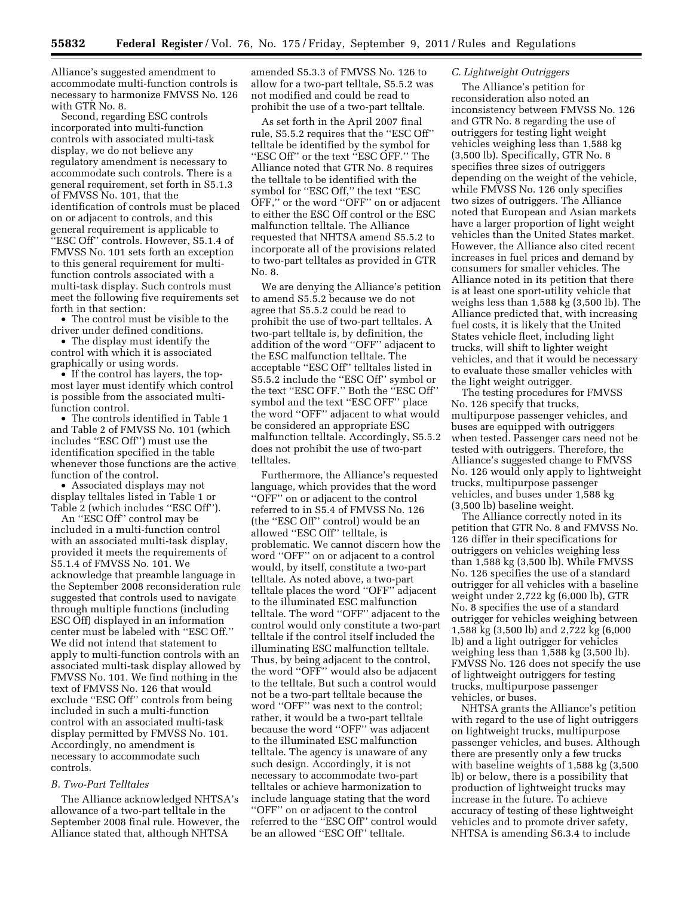Alliance's suggested amendment to accommodate multi-function controls is necessary to harmonize FMVSS No. 126 with GTR No. 8.

Second, regarding ESC controls incorporated into multi-function controls with associated multi-task display, we do not believe any regulatory amendment is necessary to accommodate such controls. There is a general requirement, set forth in S5.1.3 of FMVSS No. 101, that the identification of controls must be placed on or adjacent to controls, and this general requirement is applicable to ''ESC Off'' controls. However, S5.1.4 of FMVSS No. 101 sets forth an exception to this general requirement for multifunction controls associated with a multi-task display. Such controls must meet the following five requirements set forth in that section:

• The control must be visible to the driver under defined conditions.

• The display must identify the control with which it is associated graphically or using words.

• If the control has layers, the topmost layer must identify which control is possible from the associated multifunction control.

• The controls identified in Table 1 and Table 2 of FMVSS No. 101 (which includes ''ESC Off'') must use the identification specified in the table whenever those functions are the active function of the control.

• Associated displays may not display telltales listed in Table 1 or Table 2 (which includes ''ESC Off'').

An ''ESC Off'' control may be included in a multi-function control with an associated multi-task display, provided it meets the requirements of S5.1.4 of FMVSS No. 101. We acknowledge that preamble language in the September 2008 reconsideration rule suggested that controls used to navigate through multiple functions (including ESC Off) displayed in an information center must be labeled with ''ESC Off.'' We did not intend that statement to apply to multi-function controls with an associated multi-task display allowed by FMVSS No. 101. We find nothing in the text of FMVSS No. 126 that would exclude ''ESC Off'' controls from being included in such a multi-function control with an associated multi-task display permitted by FMVSS No. 101. Accordingly, no amendment is necessary to accommodate such controls.

## *B. Two-Part Telltales*

The Alliance acknowledged NHTSA's allowance of a two-part telltale in the September 2008 final rule. However, the Alliance stated that, although NHTSA

amended S5.3.3 of FMVSS No. 126 to allow for a two-part telltale, S5.5.2 was not modified and could be read to prohibit the use of a two-part telltale.

As set forth in the April 2007 final rule, S5.5.2 requires that the ''ESC Off'' telltale be identified by the symbol for ''ESC Off'' or the text ''ESC OFF.'' The Alliance noted that GTR No. 8 requires the telltale to be identified with the symbol for "ESC Off," the text "ESC OFF,'' or the word ''OFF'' on or adjacent to either the ESC Off control or the ESC malfunction telltale. The Alliance requested that NHTSA amend S5.5.2 to incorporate all of the provisions related to two-part telltales as provided in GTR No. 8.

We are denying the Alliance's petition to amend S5.5.2 because we do not agree that S5.5.2 could be read to prohibit the use of two-part telltales. A two-part telltale is, by definition, the addition of the word ''OFF'' adjacent to the ESC malfunction telltale. The acceptable ''ESC Off'' telltales listed in S5.5.2 include the ''ESC Off'' symbol or the text ''ESC OFF.'' Both the ''ESC Off'' symbol and the text ''ESC OFF'' place the word ''OFF'' adjacent to what would be considered an appropriate ESC malfunction telltale. Accordingly, S5.5.2 does not prohibit the use of two-part telltales.

Furthermore, the Alliance's requested language, which provides that the word ''OFF'' on or adjacent to the control referred to in S5.4 of FMVSS No. 126 (the ''ESC Off'' control) would be an allowed ''ESC Off'' telltale, is problematic. We cannot discern how the word ''OFF'' on or adjacent to a control would, by itself, constitute a two-part telltale. As noted above, a two-part telltale places the word ''OFF'' adjacent to the illuminated ESC malfunction telltale. The word ''OFF'' adjacent to the control would only constitute a two-part telltale if the control itself included the illuminating ESC malfunction telltale. Thus, by being adjacent to the control, the word ''OFF'' would also be adjacent to the telltale. But such a control would not be a two-part telltale because the word ''OFF'' was next to the control; rather, it would be a two-part telltale because the word ''OFF'' was adjacent to the illuminated ESC malfunction telltale. The agency is unaware of any such design. Accordingly, it is not necessary to accommodate two-part telltales or achieve harmonization to include language stating that the word ''OFF'' on or adjacent to the control referred to the ''ESC Off'' control would be an allowed ''ESC Off'' telltale.

## *C. Lightweight Outriggers*

The Alliance's petition for reconsideration also noted an inconsistency between FMVSS No. 126 and GTR No. 8 regarding the use of outriggers for testing light weight vehicles weighing less than 1,588 kg (3,500 lb). Specifically, GTR No. 8 specifies three sizes of outriggers depending on the weight of the vehicle, while FMVSS No. 126 only specifies two sizes of outriggers. The Alliance noted that European and Asian markets have a larger proportion of light weight vehicles than the United States market. However, the Alliance also cited recent increases in fuel prices and demand by consumers for smaller vehicles. The Alliance noted in its petition that there is at least one sport-utility vehicle that weighs less than 1,588 kg (3,500 lb). The Alliance predicted that, with increasing fuel costs, it is likely that the United States vehicle fleet, including light trucks, will shift to lighter weight vehicles, and that it would be necessary to evaluate these smaller vehicles with the light weight outrigger.

The testing procedures for FMVSS No. 126 specify that trucks, multipurpose passenger vehicles, and buses are equipped with outriggers when tested. Passenger cars need not be tested with outriggers. Therefore, the Alliance's suggested change to FMVSS No. 126 would only apply to lightweight trucks, multipurpose passenger vehicles, and buses under 1,588 kg (3,500 lb) baseline weight.

The Alliance correctly noted in its petition that GTR No. 8 and FMVSS No. 126 differ in their specifications for outriggers on vehicles weighing less than 1,588 kg (3,500 lb). While FMVSS No. 126 specifies the use of a standard outrigger for all vehicles with a baseline weight under 2,722 kg (6,000 lb), GTR No. 8 specifies the use of a standard outrigger for vehicles weighing between 1,588 kg (3,500 lb) and 2,722 kg (6,000 lb) and a light outrigger for vehicles weighing less than 1,588 kg (3,500 lb). FMVSS No. 126 does not specify the use of lightweight outriggers for testing trucks, multipurpose passenger vehicles, or buses.

NHTSA grants the Alliance's petition with regard to the use of light outriggers on lightweight trucks, multipurpose passenger vehicles, and buses. Although there are presently only a few trucks with baseline weights of 1,588 kg (3,500 lb) or below, there is a possibility that production of lightweight trucks may increase in the future. To achieve accuracy of testing of these lightweight vehicles and to promote driver safety, NHTSA is amending S6.3.4 to include